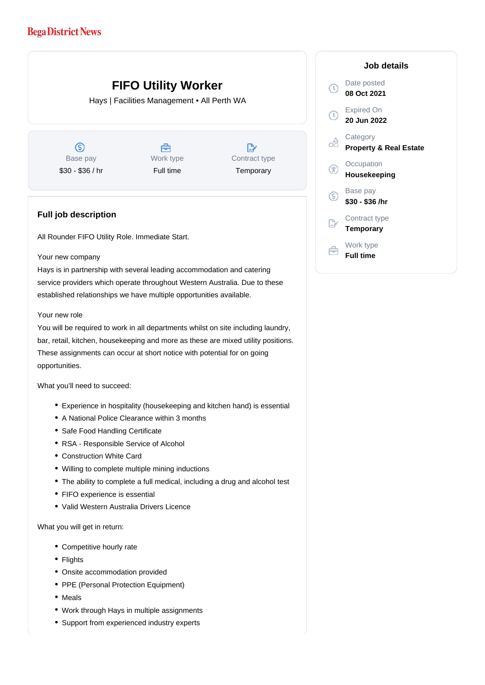## **Bega District News**

# **FIFO Utility Worker**

Hays | Facilities Management • All Perth WA

 $\circledS$ Base pay \$30 - \$36 / hr

Å Work type Full time

 $\mathbb{R}$ Contract type **Temporary** 

### **Full job description**

All Rounder FIFO Utility Role. Immediate Start.

#### Your new company

Hays is in partnership with several leading accommodation and catering service providers which operate throughout Western Australia. Due to these established relationships we have multiple opportunities available.

#### Your new role

You will be required to work in all departments whilst on site including laundry, bar, retail, kitchen, housekeeping and more as these are mixed utility positions. These assignments can occur at short notice with potential for on going opportunities.

What you'll need to succeed:

- Experience in hospitality (housekeeping and kitchen hand) is essential
- A National Police Clearance within 3 months
- Safe Food Handling Certificate
- RSA Responsible Service of Alcohol
- Construction White Card
- Willing to complete multiple mining inductions
- The ability to complete a full medical, including a drug and alcohol test
- FIFO experience is essential
- Valid Western Australia Drivers Licence

What you will get in return:

- Competitive hourly rate
- Flights
- Onsite accommodation provided
- PPE (Personal Protection Equipment)
- Meals
- Work through Hays in multiple assignments
- Support from experienced industry experts

### **Job details** Date posted  $\left( 0\right)$ **08 Oct 2021** Expired On  $\left( 0\right)$ **20 Jun 2022 Category** œ **Property & Real Estate Occupation** G **Housekeeping** Base pay (S) **\$30 - \$36 /hr** Contract type **Temporary** Work type 自 **Full time**